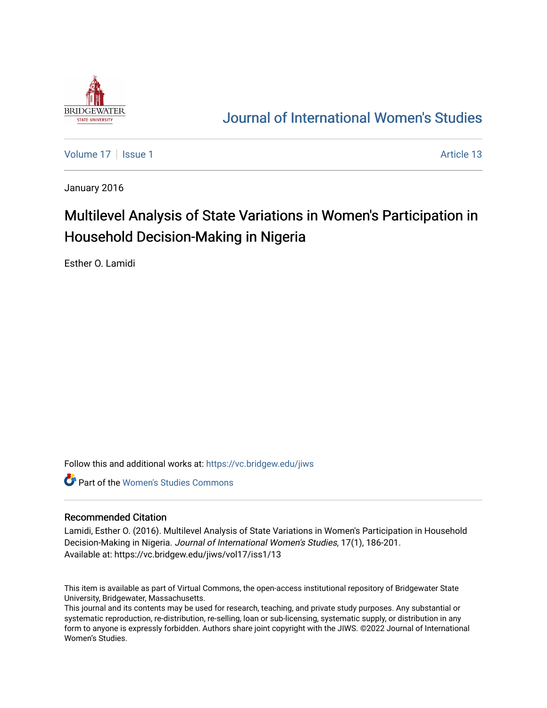

# [Journal of International Women's Studies](https://vc.bridgew.edu/jiws)

[Volume 17](https://vc.bridgew.edu/jiws/vol17) | [Issue 1](https://vc.bridgew.edu/jiws/vol17/iss1) Article 13

January 2016

# Multilevel Analysis of State Variations in Women's Participation in Household Decision-Making in Nigeria

Esther O. Lamidi

Follow this and additional works at: [https://vc.bridgew.edu/jiws](https://vc.bridgew.edu/jiws?utm_source=vc.bridgew.edu%2Fjiws%2Fvol17%2Fiss1%2F13&utm_medium=PDF&utm_campaign=PDFCoverPages)

**C** Part of the Women's Studies Commons

#### Recommended Citation

Lamidi, Esther O. (2016). Multilevel Analysis of State Variations in Women's Participation in Household Decision-Making in Nigeria. Journal of International Women's Studies, 17(1), 186-201. Available at: https://vc.bridgew.edu/jiws/vol17/iss1/13

This item is available as part of Virtual Commons, the open-access institutional repository of Bridgewater State University, Bridgewater, Massachusetts.

This journal and its contents may be used for research, teaching, and private study purposes. Any substantial or systematic reproduction, re-distribution, re-selling, loan or sub-licensing, systematic supply, or distribution in any form to anyone is expressly forbidden. Authors share joint copyright with the JIWS. ©2022 Journal of International Women's Studies.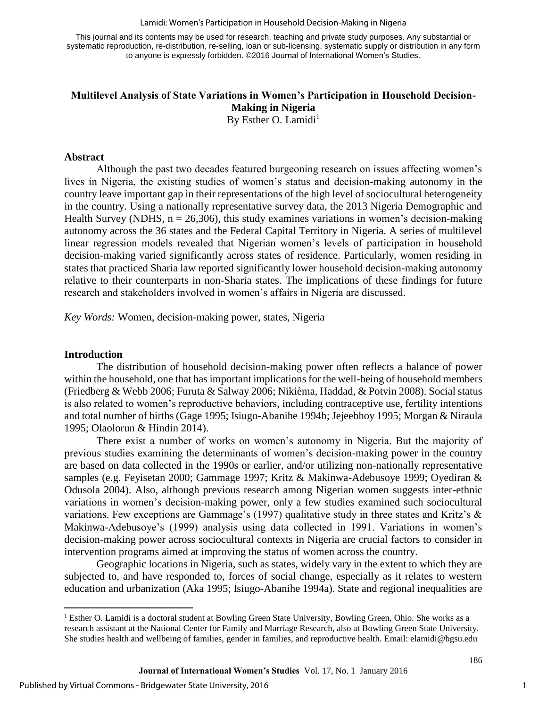Lamidi: Women's Participation in Household Decision-Making in Nigeria

This journal and its contents may be used for research, teaching and private study purposes. Any substantial or systematic reproduction, re-distribution, re-selling, loan or sub-licensing, systematic supply or distribution in any form to anyone is expressly forbidden. ©2016 Journal of International Women's Studies.

# **Multilevel Analysis of State Variations in Women's Participation in Household Decision-Making in Nigeria**

By Esther O. Lamidi<sup>1</sup>

#### **Abstract**

Although the past two decades featured burgeoning research on issues affecting women's lives in Nigeria, the existing studies of women's status and decision-making autonomy in the country leave important gap in their representations of the high level of sociocultural heterogeneity in the country. Using a nationally representative survey data, the 2013 Nigeria Demographic and Health Survey (NDHS,  $n = 26,306$ ), this study examines variations in women's decision-making autonomy across the 36 states and the Federal Capital Territory in Nigeria. A series of multilevel linear regression models revealed that Nigerian women's levels of participation in household decision-making varied significantly across states of residence. Particularly, women residing in states that practiced Sharia law reported significantly lower household decision-making autonomy relative to their counterparts in non-Sharia states. The implications of these findings for future research and stakeholders involved in women's affairs in Nigeria are discussed.

*Key Words:* Women, decision-making power, states, Nigeria

#### **Introduction**

 $\overline{\phantom{a}}$ 

The distribution of household decision-making power often reflects a balance of power within the household, one that has important implications for the well-being of household members (Friedberg & Webb 2006; Furuta & Salway 2006; Nikièma, Haddad, & Potvin 2008). Social status is also related to women's reproductive behaviors, including contraceptive use, fertility intentions and total number of births (Gage 1995; Isiugo-Abanihe 1994b; Jejeebhoy 1995; Morgan & Niraula 1995; Olaolorun & Hindin 2014).

There exist a number of works on women's autonomy in Nigeria. But the majority of previous studies examining the determinants of women's decision-making power in the country are based on data collected in the 1990s or earlier, and/or utilizing non-nationally representative samples (e.g. Feyisetan 2000; Gammage 1997; Kritz & Makinwa-Adebusoye 1999; Oyediran & Odusola 2004). Also, although previous research among Nigerian women suggests inter-ethnic variations in women's decision-making power, only a few studies examined such sociocultural variations. Few exceptions are Gammage's (1997) qualitative study in three states and Kritz's & Makinwa-Adebusoye's (1999) analysis using data collected in 1991. Variations in women's decision-making power across sociocultural contexts in Nigeria are crucial factors to consider in intervention programs aimed at improving the status of women across the country.

Geographic locations in Nigeria, such as states, widely vary in the extent to which they are subjected to, and have responded to, forces of social change, especially as it relates to western education and urbanization (Aka 1995; Isiugo-Abanihe 1994a). State and regional inequalities are

<sup>1</sup> Esther O. Lamidi is a doctoral student at Bowling Green State University, Bowling Green, Ohio. She works as a research assistant at the National Center for Family and Marriage Research, also at Bowling Green State University. She studies health and wellbeing of families, gender in families, and reproductive health. Email: elamidi@bgsu.edu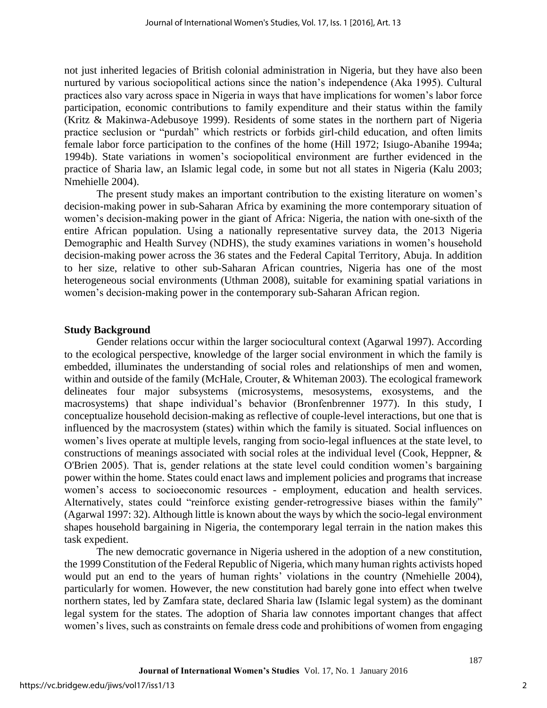not just inherited legacies of British colonial administration in Nigeria, but they have also been nurtured by various sociopolitical actions since the nation's independence (Aka 1995). Cultural practices also vary across space in Nigeria in ways that have implications for women's labor force participation, economic contributions to family expenditure and their status within the family (Kritz & Makinwa-Adebusoye 1999). Residents of some states in the northern part of Nigeria practice seclusion or "purdah" which restricts or forbids girl-child education, and often limits female labor force participation to the confines of the home (Hill 1972; Isiugo-Abanihe 1994a; 1994b). State variations in women's sociopolitical environment are further evidenced in the practice of Sharia law, an Islamic legal code, in some but not all states in Nigeria (Kalu 2003; Nmehielle 2004).

The present study makes an important contribution to the existing literature on women's decision-making power in sub-Saharan Africa by examining the more contemporary situation of women's decision-making power in the giant of Africa: Nigeria, the nation with one-sixth of the entire African population. Using a nationally representative survey data, the 2013 Nigeria Demographic and Health Survey (NDHS), the study examines variations in women's household decision-making power across the 36 states and the Federal Capital Territory, Abuja. In addition to her size, relative to other sub-Saharan African countries, Nigeria has one of the most heterogeneous social environments (Uthman 2008), suitable for examining spatial variations in women's decision-making power in the contemporary sub-Saharan African region.

### **Study Background**

Gender relations occur within the larger sociocultural context (Agarwal 1997). According to the ecological perspective, knowledge of the larger social environment in which the family is embedded, illuminates the understanding of social roles and relationships of men and women, within and outside of the family (McHale, Crouter, & Whiteman 2003). The ecological framework delineates four major subsystems (microsystems, mesosystems, exosystems, and the macrosystems) that shape individual's behavior (Bronfenbrenner 1977). In this study, I conceptualize household decision-making as reflective of couple-level interactions, but one that is influenced by the macrosystem (states) within which the family is situated. Social influences on women's lives operate at multiple levels, ranging from socio-legal influences at the state level, to constructions of meanings associated with social roles at the individual level (Cook, Heppner, & O'Brien 2005). That is, gender relations at the state level could condition women's bargaining power within the home. States could enact laws and implement policies and programs that increase women's access to socioeconomic resources - employment, education and health services. Alternatively, states could "reinforce existing gender-retrogressive biases within the family" (Agarwal 1997: 32). Although little is known about the ways by which the socio-legal environment shapes household bargaining in Nigeria, the contemporary legal terrain in the nation makes this task expedient.

The new democratic governance in Nigeria ushered in the adoption of a new constitution, the 1999 Constitution of the Federal Republic of Nigeria, which many human rights activists hoped would put an end to the years of human rights' violations in the country (Nmehielle 2004), particularly for women. However, the new constitution had barely gone into effect when twelve northern states, led by Zamfara state, declared Sharia law (Islamic legal system) as the dominant legal system for the states. The adoption of Sharia law connotes important changes that affect women's lives, such as constraints on female dress code and prohibitions of women from engaging

2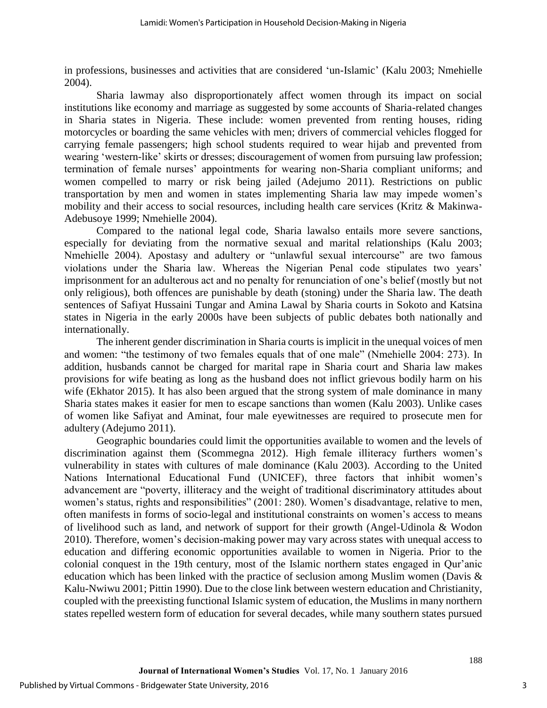in professions, businesses and activities that are considered 'un-Islamic' (Kalu 2003; Nmehielle 2004).

Sharia lawmay also disproportionately affect women through its impact on social institutions like economy and marriage as suggested by some accounts of Sharia-related changes in Sharia states in Nigeria. These include: women prevented from renting houses, riding motorcycles or boarding the same vehicles with men; drivers of commercial vehicles flogged for carrying female passengers; high school students required to wear hijab and prevented from wearing 'western-like' skirts or dresses; discouragement of women from pursuing law profession; termination of female nurses' appointments for wearing non-Sharia compliant uniforms; and women compelled to marry or risk being jailed (Adejumo 2011). Restrictions on public transportation by men and women in states implementing Sharia law may impede women's mobility and their access to social resources, including health care services (Kritz & Makinwa-Adebusoye 1999; Nmehielle 2004).

Compared to the national legal code, Sharia lawalso entails more severe sanctions, especially for deviating from the normative sexual and marital relationships (Kalu 2003; Nmehielle 2004). Apostasy and adultery or "unlawful sexual intercourse" are two famous violations under the Sharia law. Whereas the Nigerian Penal code stipulates two years' imprisonment for an adulterous act and no penalty for renunciation of one's belief (mostly but not only religious), both offences are punishable by death (stoning) under the Sharia law. The death sentences of Safiyat Hussaini Tungar and Amina Lawal by Sharia courts in Sokoto and Katsina states in Nigeria in the early 2000s have been subjects of public debates both nationally and internationally.

The inherent gender discrimination in Sharia courts is implicit in the unequal voices of men and women: "the testimony of two females equals that of one male" (Nmehielle 2004: 273). In addition, husbands cannot be charged for marital rape in Sharia court and Sharia law makes provisions for wife beating as long as the husband does not inflict grievous bodily harm on his wife (Ekhator 2015). It has also been argued that the strong system of male dominance in many Sharia states makes it easier for men to escape sanctions than women (Kalu 2003). Unlike cases of women like Safiyat and Aminat, four male eyewitnesses are required to prosecute men for adultery (Adejumo 2011).

Geographic boundaries could limit the opportunities available to women and the levels of discrimination against them (Scommegna 2012). High female illiteracy furthers women's vulnerability in states with cultures of male dominance (Kalu 2003). According to the United Nations International Educational Fund (UNICEF), three factors that inhibit women's advancement are "poverty, illiteracy and the weight of traditional discriminatory attitudes about women's status, rights and responsibilities" (2001: 280). Women's disadvantage, relative to men, often manifests in forms of socio-legal and institutional constraints on women's access to means of livelihood such as land, and network of support for their growth (Angel-Udinola & Wodon 2010). Therefore, women's decision-making power may vary across states with unequal access to education and differing economic opportunities available to women in Nigeria. Prior to the colonial conquest in the 19th century, most of the Islamic northern states engaged in Qur'anic education which has been linked with the practice of seclusion among Muslim women (Davis & Kalu-Nwiwu 2001; Pittin 1990). Due to the close link between western education and Christianity, coupled with the preexisting functional Islamic system of education, the Muslims in many northern states repelled western form of education for several decades, while many southern states pursued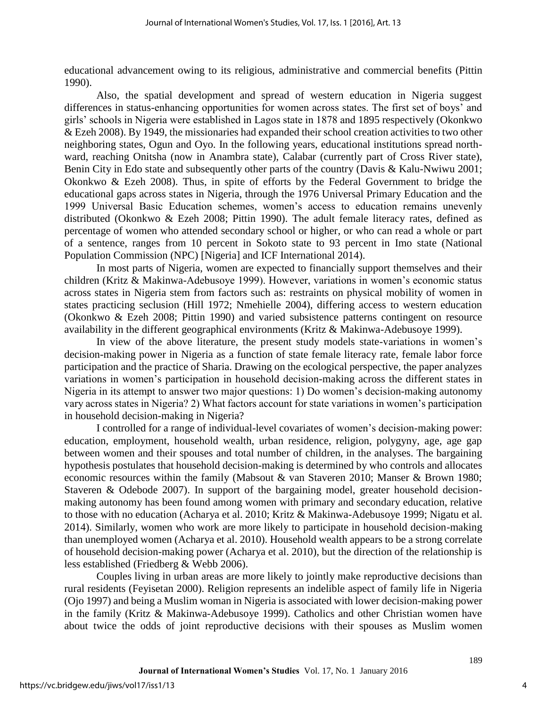educational advancement owing to its religious, administrative and commercial benefits (Pittin 1990).

Also, the spatial development and spread of western education in Nigeria suggest differences in status-enhancing opportunities for women across states. The first set of boys' and girls' schools in Nigeria were established in Lagos state in 1878 and 1895 respectively (Okonkwo & Ezeh 2008). By 1949, the missionaries had expanded their school creation activities to two other neighboring states, Ogun and Oyo. In the following years, educational institutions spread northward, reaching Onitsha (now in Anambra state), Calabar (currently part of Cross River state), Benin City in Edo state and subsequently other parts of the country (Davis & Kalu-Nwiwu 2001; Okonkwo & Ezeh 2008). Thus, in spite of efforts by the Federal Government to bridge the educational gaps across states in Nigeria, through the 1976 Universal Primary Education and the 1999 Universal Basic Education schemes, women's access to education remains unevenly distributed (Okonkwo & Ezeh 2008; Pittin 1990). The adult female literacy rates, defined as percentage of women who attended secondary school or higher, or who can read a whole or part of a sentence, ranges from 10 percent in Sokoto state to 93 percent in Imo state (National Population Commission (NPC) [Nigeria] and ICF International 2014).

In most parts of Nigeria, women are expected to financially support themselves and their children (Kritz & Makinwa-Adebusoye 1999). However, variations in women's economic status across states in Nigeria stem from factors such as: restraints on physical mobility of women in states practicing seclusion (Hill 1972; Nmehielle 2004), differing access to western education (Okonkwo & Ezeh 2008; Pittin 1990) and varied subsistence patterns contingent on resource availability in the different geographical environments (Kritz & Makinwa-Adebusoye 1999).

In view of the above literature, the present study models state-variations in women's decision-making power in Nigeria as a function of state female literacy rate, female labor force participation and the practice of Sharia. Drawing on the ecological perspective, the paper analyzes variations in women's participation in household decision-making across the different states in Nigeria in its attempt to answer two major questions: 1) Do women's decision-making autonomy vary across states in Nigeria? 2) What factors account for state variations in women's participation in household decision-making in Nigeria?

I controlled for a range of individual-level covariates of women's decision-making power: education, employment, household wealth, urban residence, religion, polygyny, age, age gap between women and their spouses and total number of children, in the analyses. The bargaining hypothesis postulates that household decision-making is determined by who controls and allocates economic resources within the family (Mabsout & van Staveren 2010; Manser & Brown 1980; Staveren & Odebode 2007). In support of the bargaining model, greater household decisionmaking autonomy has been found among women with primary and secondary education, relative to those with no education (Acharya et al. 2010; Kritz & Makinwa-Adebusoye 1999; Nigatu et al. 2014). Similarly, women who work are more likely to participate in household decision-making than unemployed women (Acharya et al. 2010). Household wealth appears to be a strong correlate of household decision-making power (Acharya et al. 2010), but the direction of the relationship is less established (Friedberg & Webb 2006).

Couples living in urban areas are more likely to jointly make reproductive decisions than rural residents (Feyisetan 2000). Religion represents an indelible aspect of family life in Nigeria (Ojo 1997) and being a Muslim woman in Nigeria is associated with lower decision-making power in the family (Kritz & Makinwa-Adebusoye 1999). Catholics and other Christian women have about twice the odds of joint reproductive decisions with their spouses as Muslim women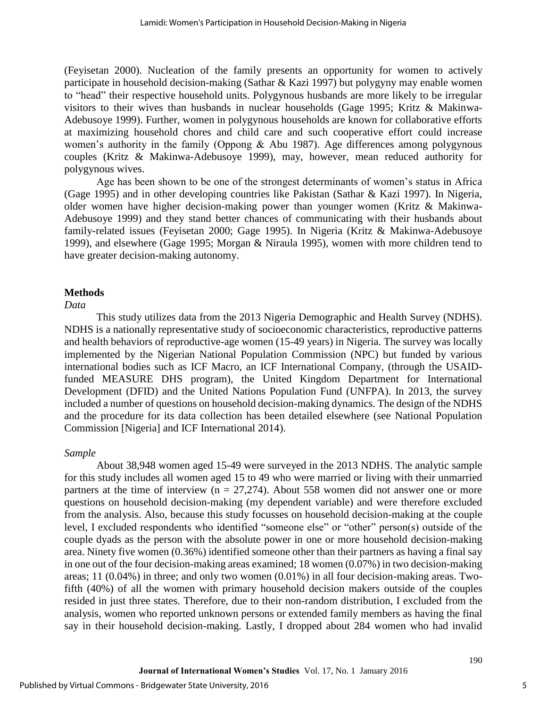(Feyisetan 2000). Nucleation of the family presents an opportunity for women to actively participate in household decision-making (Sathar & Kazi 1997) but polygyny may enable women to "head" their respective household units. Polygynous husbands are more likely to be irregular visitors to their wives than husbands in nuclear households (Gage 1995; Kritz & Makinwa-Adebusoye 1999). Further, women in polygynous households are known for collaborative efforts at maximizing household chores and child care and such cooperative effort could increase women's authority in the family (Oppong & Abu 1987). Age differences among polygynous couples (Kritz & Makinwa-Adebusoye 1999), may, however, mean reduced authority for polygynous wives.

Age has been shown to be one of the strongest determinants of women's status in Africa (Gage 1995) and in other developing countries like Pakistan (Sathar & Kazi 1997). In Nigeria, older women have higher decision-making power than younger women (Kritz & Makinwa-Adebusoye 1999) and they stand better chances of communicating with their husbands about family-related issues (Feyisetan 2000; Gage 1995). In Nigeria (Kritz & Makinwa-Adebusoye 1999), and elsewhere (Gage 1995; Morgan & Niraula 1995), women with more children tend to have greater decision-making autonomy.

#### **Methods**

#### *Data*

This study utilizes data from the 2013 Nigeria Demographic and Health Survey (NDHS). NDHS is a nationally representative study of socioeconomic characteristics, reproductive patterns and health behaviors of reproductive-age women (15-49 years) in Nigeria. The survey was locally implemented by the Nigerian National Population Commission (NPC) but funded by various international bodies such as ICF Macro, an ICF International Company, (through the USAIDfunded MEASURE DHS program), the United Kingdom Department for International Development (DFID) and the United Nations Population Fund (UNFPA). In 2013, the survey included a number of questions on household decision-making dynamics. The design of the NDHS and the procedure for its data collection has been detailed elsewhere (see National Population Commission [Nigeria] and ICF International 2014).

#### *Sample*

About 38,948 women aged 15-49 were surveyed in the 2013 NDHS. The analytic sample for this study includes all women aged 15 to 49 who were married or living with their unmarried partners at the time of interview ( $n = 27,274$ ). About 558 women did not answer one or more questions on household decision-making (my dependent variable) and were therefore excluded from the analysis. Also, because this study focusses on household decision-making at the couple level, I excluded respondents who identified "someone else" or "other" person(s) outside of the couple dyads as the person with the absolute power in one or more household decision-making area. Ninety five women (0.36%) identified someone other than their partners as having a final say in one out of the four decision-making areas examined; 18 women (0.07%) in two decision-making areas; 11 (0.04%) in three; and only two women (0.01%) in all four decision-making areas. Twofifth (40%) of all the women with primary household decision makers outside of the couples resided in just three states. Therefore, due to their non-random distribution, I excluded from the analysis, women who reported unknown persons or extended family members as having the final say in their household decision-making. Lastly, I dropped about 284 women who had invalid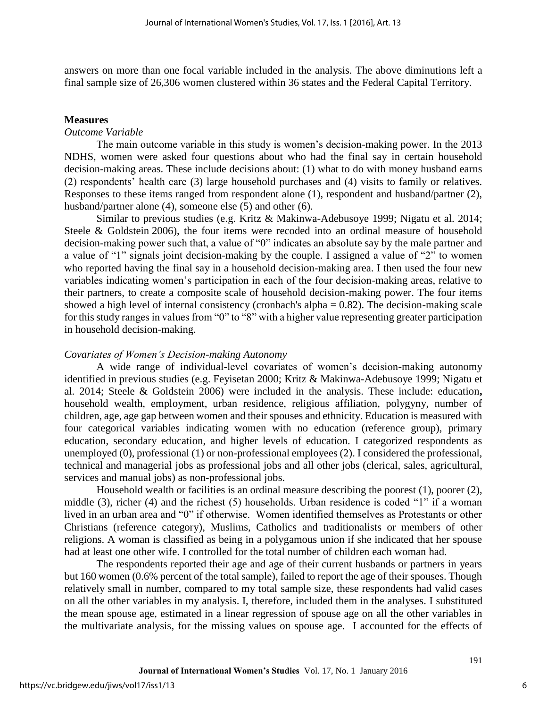answers on more than one focal variable included in the analysis. The above diminutions left a final sample size of 26,306 women clustered within 36 states and the Federal Capital Territory.

#### **Measures**

#### *Outcome Variable*

The main outcome variable in this study is women's decision-making power. In the 2013 NDHS, women were asked four questions about who had the final say in certain household decision-making areas. These include decisions about: (1) what to do with money husband earns (2) respondents' health care (3) large household purchases and (4) visits to family or relatives. Responses to these items ranged from respondent alone (1), respondent and husband/partner (2), husband/partner alone (4), someone else (5) and other (6).

Similar to previous studies (e.g. Kritz & Makinwa-Adebusoye 1999; Nigatu et al. 2014; Steele & Goldstein 2006), the four items were recoded into an ordinal measure of household decision-making power such that, a value of "0" indicates an absolute say by the male partner and a value of "1" signals joint decision-making by the couple. I assigned a value of "2" to women who reported having the final say in a household decision-making area. I then used the four new variables indicating women's participation in each of the four decision-making areas, relative to their partners, to create a composite scale of household decision-making power. The four items showed a high level of internal consistency (cronbach's alpha  $= 0.82$ ). The decision-making scale for this study ranges in values from "0" to "8" with a higher value representing greater participation in household decision-making.

#### *Covariates of Women's Decision-making Autonomy*

A wide range of individual-level covariates of women's decision-making autonomy identified in previous studies (e.g. Feyisetan 2000; Kritz & Makinwa-Adebusoye 1999; Nigatu et al. 2014; Steele & Goldstein 2006) were included in the analysis. These include: education**,**  household wealth, employment, urban residence, religious affiliation, polygyny, number of children, age, age gap between women and their spouses and ethnicity. Education is measured with four categorical variables indicating women with no education (reference group), primary education, secondary education, and higher levels of education. I categorized respondents as unemployed (0), professional (1) or non-professional employees (2). I considered the professional, technical and managerial jobs as professional jobs and all other jobs (clerical, sales, agricultural, services and manual jobs) as non-professional jobs.

Household wealth or facilities is an ordinal measure describing the poorest (1), poorer (2), middle (3), richer (4) and the richest (5) households. Urban residence is coded "1" if a woman lived in an urban area and "0" if otherwise. Women identified themselves as Protestants or other Christians (reference category), Muslims, Catholics and traditionalists or members of other religions. A woman is classified as being in a polygamous union if she indicated that her spouse had at least one other wife. I controlled for the total number of children each woman had.

The respondents reported their age and age of their current husbands or partners in years but 160 women (0.6% percent of the total sample), failed to report the age of their spouses. Though relatively small in number, compared to my total sample size, these respondents had valid cases on all the other variables in my analysis. I, therefore, included them in the analyses. I substituted the mean spouse age, estimated in a linear regression of spouse age on all the other variables in the multivariate analysis, for the missing values on spouse age. I accounted for the effects of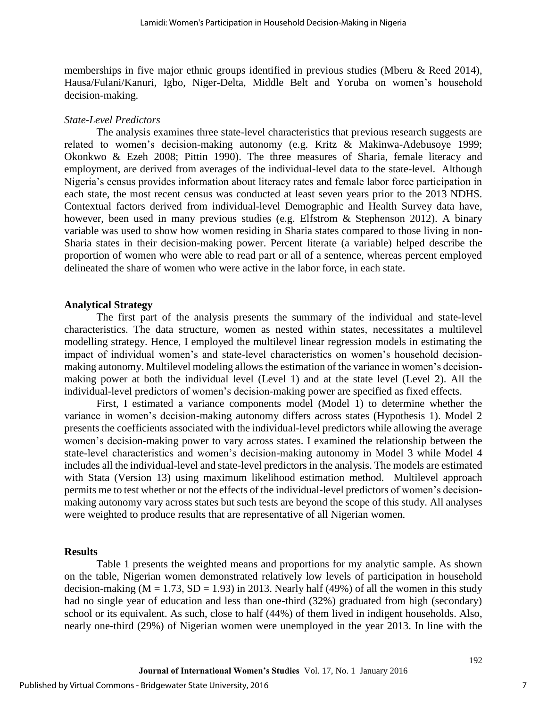memberships in five major ethnic groups identified in previous studies (Mberu & Reed 2014), Hausa/Fulani/Kanuri, Igbo, Niger-Delta, Middle Belt and Yoruba on women's household decision-making.

#### *State-Level Predictors*

The analysis examines three state-level characteristics that previous research suggests are related to women's decision-making autonomy (e.g. Kritz & Makinwa-Adebusoye 1999; Okonkwo & Ezeh 2008; Pittin 1990). The three measures of Sharia, female literacy and employment, are derived from averages of the individual-level data to the state-level. Although Nigeria's census provides information about literacy rates and female labor force participation in each state, the most recent census was conducted at least seven years prior to the 2013 NDHS. Contextual factors derived from individual-level Demographic and Health Survey data have, however, been used in many previous studies (e.g. Elfstrom & Stephenson 2012). A binary variable was used to show how women residing in Sharia states compared to those living in non-Sharia states in their decision-making power. Percent literate (a variable) helped describe the proportion of women who were able to read part or all of a sentence, whereas percent employed delineated the share of women who were active in the labor force, in each state.

#### **Analytical Strategy**

The first part of the analysis presents the summary of the individual and state-level characteristics. The data structure, women as nested within states, necessitates a multilevel modelling strategy. Hence, I employed the multilevel linear regression models in estimating the impact of individual women's and state-level characteristics on women's household decisionmaking autonomy. Multilevel modeling allows the estimation of the variance in women's decisionmaking power at both the individual level (Level 1) and at the state level (Level 2). All the individual-level predictors of women's decision-making power are specified as fixed effects.

First, I estimated a variance components model (Model 1) to determine whether the variance in women's decision-making autonomy differs across states (Hypothesis 1). Model 2 presents the coefficients associated with the individual-level predictors while allowing the average women's decision-making power to vary across states. I examined the relationship between the state-level characteristics and women's decision-making autonomy in Model 3 while Model 4 includes all the individual-level and state-level predictors in the analysis. The models are estimated with Stata (Version 13) using maximum likelihood estimation method. Multilevel approach permits me to test whether or not the effects of the individual-level predictors of women's decisionmaking autonomy vary across states but such tests are beyond the scope of this study. All analyses were weighted to produce results that are representative of all Nigerian women.

#### **Results**

Table 1 presents the weighted means and proportions for my analytic sample. As shown on the table, Nigerian women demonstrated relatively low levels of participation in household decision-making ( $M = 1.73$ ,  $SD = 1.93$ ) in 2013. Nearly half (49%) of all the women in this study had no single year of education and less than one-third (32%) graduated from high (secondary) school or its equivalent. As such, close to half (44%) of them lived in indigent households. Also, nearly one-third (29%) of Nigerian women were unemployed in the year 2013. In line with the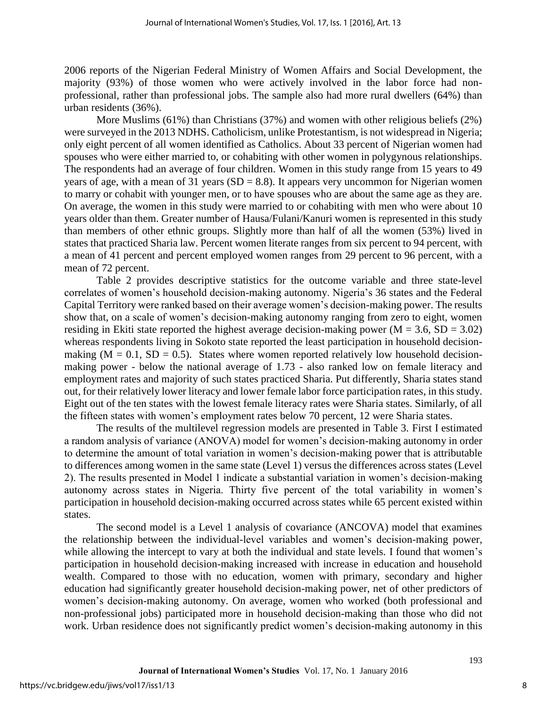2006 reports of the Nigerian Federal Ministry of Women Affairs and Social Development, the majority (93%) of those women who were actively involved in the labor force had nonprofessional, rather than professional jobs. The sample also had more rural dwellers (64%) than urban residents (36%).

More Muslims (61%) than Christians (37%) and women with other religious beliefs (2%) were surveyed in the 2013 NDHS. Catholicism, unlike Protestantism, is not widespread in Nigeria; only eight percent of all women identified as Catholics. About 33 percent of Nigerian women had spouses who were either married to, or cohabiting with other women in polygynous relationships. The respondents had an average of four children. Women in this study range from 15 years to 49 years of age, with a mean of 31 years ( $SD = 8.8$ ). It appears very uncommon for Nigerian women to marry or cohabit with younger men, or to have spouses who are about the same age as they are. On average, the women in this study were married to or cohabiting with men who were about 10 years older than them. Greater number of Hausa/Fulani/Kanuri women is represented in this study than members of other ethnic groups. Slightly more than half of all the women (53%) lived in states that practiced Sharia law. Percent women literate ranges from six percent to 94 percent, with a mean of 41 percent and percent employed women ranges from 29 percent to 96 percent, with a mean of 72 percent.

Table 2 provides descriptive statistics for the outcome variable and three state-level correlates of women's household decision-making autonomy. Nigeria's 36 states and the Federal Capital Territory were ranked based on their average women's decision-making power. The results show that, on a scale of women's decision-making autonomy ranging from zero to eight, women residing in Ekiti state reported the highest average decision-making power ( $M = 3.6$ ,  $SD = 3.02$ ) whereas respondents living in Sokoto state reported the least participation in household decisionmaking ( $M = 0.1$ ,  $SD = 0.5$ ). States where women reported relatively low household decisionmaking power - below the national average of 1.73 - also ranked low on female literacy and employment rates and majority of such states practiced Sharia. Put differently, Sharia states stand out, for their relatively lower literacy and lower female labor force participation rates, in this study. Eight out of the ten states with the lowest female literacy rates were Sharia states. Similarly, of all the fifteen states with women's employment rates below 70 percent, 12 were Sharia states.

The results of the multilevel regression models are presented in Table 3. First I estimated a random analysis of variance (ANOVA) model for women's decision-making autonomy in order to determine the amount of total variation in women's decision-making power that is attributable to differences among women in the same state (Level 1) versus the differences across states (Level 2). The results presented in Model 1 indicate a substantial variation in women's decision-making autonomy across states in Nigeria. Thirty five percent of the total variability in women's participation in household decision-making occurred across states while 65 percent existed within states.

The second model is a Level 1 analysis of covariance (ANCOVA) model that examines the relationship between the individual-level variables and women's decision-making power, while allowing the intercept to vary at both the individual and state levels. I found that women's participation in household decision-making increased with increase in education and household wealth. Compared to those with no education, women with primary, secondary and higher education had significantly greater household decision-making power, net of other predictors of women's decision-making autonomy. On average, women who worked (both professional and non-professional jobs) participated more in household decision-making than those who did not work. Urban residence does not significantly predict women's decision-making autonomy in this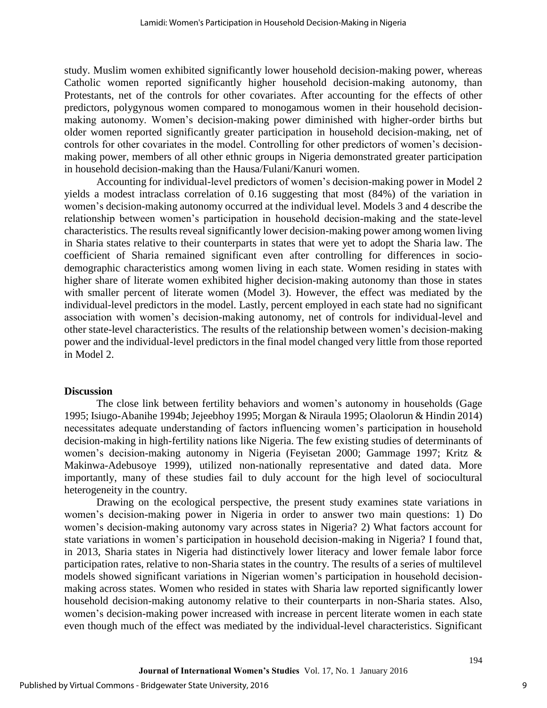study. Muslim women exhibited significantly lower household decision-making power, whereas Catholic women reported significantly higher household decision-making autonomy, than Protestants, net of the controls for other covariates. After accounting for the effects of other predictors, polygynous women compared to monogamous women in their household decisionmaking autonomy. Women's decision-making power diminished with higher-order births but older women reported significantly greater participation in household decision-making, net of controls for other covariates in the model. Controlling for other predictors of women's decisionmaking power, members of all other ethnic groups in Nigeria demonstrated greater participation in household decision-making than the Hausa/Fulani/Kanuri women.

Accounting for individual-level predictors of women's decision-making power in Model 2 yields a modest intraclass correlation of 0.16 suggesting that most (84%) of the variation in women's decision-making autonomy occurred at the individual level. Models 3 and 4 describe the relationship between women's participation in household decision-making and the state-level characteristics. The results reveal significantly lower decision-making power among women living in Sharia states relative to their counterparts in states that were yet to adopt the Sharia law. The coefficient of Sharia remained significant even after controlling for differences in sociodemographic characteristics among women living in each state. Women residing in states with higher share of literate women exhibited higher decision-making autonomy than those in states with smaller percent of literate women (Model 3). However, the effect was mediated by the individual-level predictors in the model. Lastly, percent employed in each state had no significant association with women's decision-making autonomy, net of controls for individual-level and other state-level characteristics. The results of the relationship between women's decision-making power and the individual-level predictors in the final model changed very little from those reported in Model 2.

#### **Discussion**

The close link between fertility behaviors and women's autonomy in households (Gage 1995; Isiugo-Abanihe 1994b; Jejeebhoy 1995; Morgan & Niraula 1995; Olaolorun & Hindin 2014) necessitates adequate understanding of factors influencing women's participation in household decision-making in high-fertility nations like Nigeria. The few existing studies of determinants of women's decision-making autonomy in Nigeria (Feyisetan 2000; Gammage 1997; Kritz & Makinwa-Adebusoye 1999), utilized non-nationally representative and dated data. More importantly, many of these studies fail to duly account for the high level of sociocultural heterogeneity in the country.

Drawing on the ecological perspective, the present study examines state variations in women's decision-making power in Nigeria in order to answer two main questions: 1) Do women's decision-making autonomy vary across states in Nigeria? 2) What factors account for state variations in women's participation in household decision-making in Nigeria? I found that, in 2013, Sharia states in Nigeria had distinctively lower literacy and lower female labor force participation rates, relative to non-Sharia states in the country. The results of a series of multilevel models showed significant variations in Nigerian women's participation in household decisionmaking across states. Women who resided in states with Sharia law reported significantly lower household decision-making autonomy relative to their counterparts in non-Sharia states. Also, women's decision-making power increased with increase in percent literate women in each state even though much of the effect was mediated by the individual-level characteristics. Significant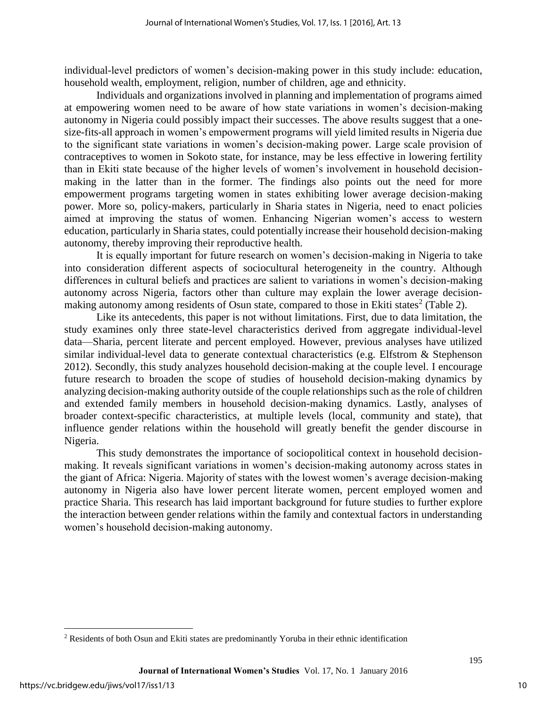individual-level predictors of women's decision-making power in this study include: education, household wealth, employment, religion, number of children, age and ethnicity.

Individuals and organizations involved in planning and implementation of programs aimed at empowering women need to be aware of how state variations in women's decision-making autonomy in Nigeria could possibly impact their successes. The above results suggest that a onesize-fits-all approach in women's empowerment programs will yield limited results in Nigeria due to the significant state variations in women's decision-making power. Large scale provision of contraceptives to women in Sokoto state, for instance, may be less effective in lowering fertility than in Ekiti state because of the higher levels of women's involvement in household decisionmaking in the latter than in the former. The findings also points out the need for more empowerment programs targeting women in states exhibiting lower average decision-making power. More so, policy-makers, particularly in Sharia states in Nigeria, need to enact policies aimed at improving the status of women. Enhancing Nigerian women's access to western education, particularly in Sharia states, could potentially increase their household decision-making autonomy, thereby improving their reproductive health.

It is equally important for future research on women's decision-making in Nigeria to take into consideration different aspects of sociocultural heterogeneity in the country. Although differences in cultural beliefs and practices are salient to variations in women's decision-making autonomy across Nigeria, factors other than culture may explain the lower average decisionmaking autonomy among residents of Osun state, compared to those in Ekiti states<sup>2</sup> (Table 2).

Like its antecedents, this paper is not without limitations. First, due to data limitation, the study examines only three state-level characteristics derived from aggregate individual-level data—Sharia, percent literate and percent employed. However, previous analyses have utilized similar individual-level data to generate contextual characteristics (e.g. Elfstrom & Stephenson 2012). Secondly, this study analyzes household decision-making at the couple level. I encourage future research to broaden the scope of studies of household decision-making dynamics by analyzing decision-making authority outside of the couple relationships such as the role of children and extended family members in household decision-making dynamics. Lastly, analyses of broader context-specific characteristics, at multiple levels (local, community and state), that influence gender relations within the household will greatly benefit the gender discourse in Nigeria.

This study demonstrates the importance of sociopolitical context in household decisionmaking. It reveals significant variations in women's decision-making autonomy across states in the giant of Africa: Nigeria. Majority of states with the lowest women's average decision-making autonomy in Nigeria also have lower percent literate women, percent employed women and practice Sharia. This research has laid important background for future studies to further explore the interaction between gender relations within the family and contextual factors in understanding women's household decision-making autonomy.

 $\overline{\phantom{a}}$ 

<sup>&</sup>lt;sup>2</sup> Residents of both Osun and Ekiti states are predominantly Yoruba in their ethnic identification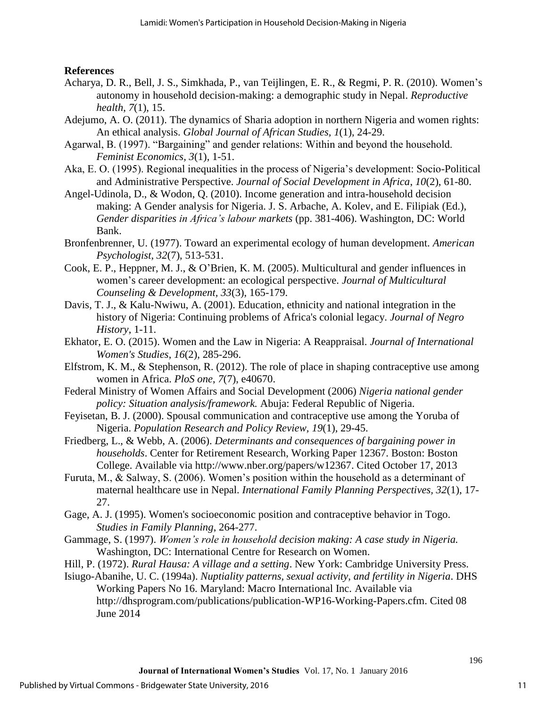### **References**

- Acharya, D. R., Bell, J. S., Simkhada, P., van Teijlingen, E. R., & Regmi, P. R. (2010). Women's autonomy in household decision-making: a demographic study in Nepal. *Reproductive health*, *7*(1), 15.
- Adejumo, A. O. (2011). The dynamics of Sharia adoption in northern Nigeria and women rights: An ethical analysis. *Global Journal of African Studies, 1*(1), 24-29.
- Agarwal, B. (1997). "Bargaining" and gender relations: Within and beyond the household. *Feminist Economics, 3*(1), 1-51.
- Aka, E. O. (1995). Regional inequalities in the process of Nigeria's development: Socio-Political and Administrative Perspective. *Journal of Social Development in Africa*, *10*(2), 61-80.
- Angel-Udinola, D., & Wodon, Q. (2010). Income generation and intra-household decision making: A Gender analysis for Nigeria. J. S. Arbache, A. Kolev, and E. Filipiak (Ed.), *Gender disparities in Africa's labour markets* (pp. 381-406). Washington, DC: World Bank.
- Bronfenbrenner, U. (1977). Toward an experimental ecology of human development. *American Psychologist, 32*(7), 513-531.
- Cook, E. P., Heppner, M. J., & O'Brien, K. M. (2005). Multicultural and gender influences in women's career development: an ecological perspective. *Journal of Multicultural Counseling & Development, 33*(3), 165-179.
- Davis, T. J., & Kalu-Nwiwu, A. (2001). Education, ethnicity and national integration in the history of Nigeria: Continuing problems of Africa's colonial legacy. *Journal of Negro History*, 1-11.
- Ekhator, E. O. (2015). Women and the Law in Nigeria: A Reappraisal. *Journal of International Women's Studies*, *16*(2), 285-296.
- Elfstrom, K. M., & Stephenson, R. (2012). The role of place in shaping contraceptive use among women in Africa. *PloS one*, *7*(7), e40670.
- Federal Ministry of Women Affairs and Social Development (2006) *Nigeria national gender policy: Situation analysis/framework.* Abuja: Federal Republic of Nigeria.
- Feyisetan, B. J. (2000). Spousal communication and contraceptive use among the Yoruba of Nigeria. *Population Research and Policy Review, 19*(1), 29-45.
- Friedberg, L., & Webb, A. (2006). *Determinants and consequences of bargaining power in households*. Center for Retirement Research, Working Paper 12367. Boston: Boston College. Available via http://www.nber.org/papers/w12367. Cited October 17, 2013
- Furuta, M., & Salway, S. (2006). Women's position within the household as a determinant of maternal healthcare use in Nepal. *International Family Planning Perspectives, 32*(1), 17- 27.
- Gage, A. J. (1995). Women's socioeconomic position and contraceptive behavior in Togo. *Studies in Family Planning*, 264-277.
- Gammage, S. (1997). *Women's role in household decision making: A case study in Nigeria.* Washington, DC: International Centre for Research on Women.
- Hill, P. (1972). *Rural Hausa: A village and a setting*. New York: Cambridge University Press.

Isiugo-Abanihe, U. C. (1994a). *Nuptiality patterns, sexual activity, and fertility in Nigeria*. DHS Working Papers No 16. Maryland: Macro International Inc. Available via http://dhsprogram.com/publications/publication-WP16-Working-Papers.cfm. Cited 08 June 2014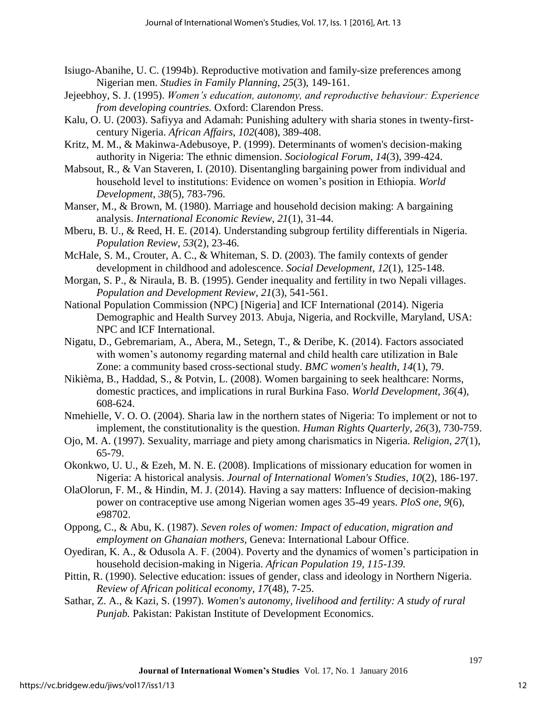- Isiugo-Abanihe, U. C. (1994b). Reproductive motivation and family-size preferences among Nigerian men. *Studies in Family Planning, 25*(3), 149-161.
- Jejeebhoy, S. J. (1995). *Women's education, autonomy, and reproductive behaviour: Experience from developing countries.* Oxford: Clarendon Press.
- Kalu, O. U. (2003). Safiyya and Adamah: Punishing adultery with sharia stones in twenty-firstcentury Nigeria. *African Affairs*, *102*(408), 389-408.
- Kritz, M. M., & Makinwa-Adebusoye, P. (1999). Determinants of women's decision-making authority in Nigeria: The ethnic dimension. *Sociological Forum*, *14*(3), 399-424.
- Mabsout, R., & Van Staveren, I. (2010). Disentangling bargaining power from individual and household level to institutions: Evidence on women's position in Ethiopia. *World Development*, *38*(5), 783-796.
- Manser, M., & Brown, M. (1980). Marriage and household decision making: A bargaining analysis. *International Economic Review*, *21*(1), 31-44.
- Mberu, B. U., & Reed, H. E. (2014). Understanding subgroup fertility differentials in Nigeria. *Population Review*, *53*(2), 23-46.
- McHale, S. M., Crouter, A. C., & Whiteman, S. D. (2003). The family contexts of gender development in childhood and adolescence. *Social Development*, *12*(1), 125-148.
- Morgan, S. P., & Niraula, B. B. (1995). Gender inequality and fertility in two Nepali villages. *Population and Development Review, 21*(3), 541-561.
- National Population Commission (NPC) [Nigeria] and ICF International (2014). Nigeria Demographic and Health Survey 2013. Abuja, Nigeria, and Rockville, Maryland, USA: NPC and ICF International.
- Nigatu, D., Gebremariam, A., Abera, M., Setegn, T., & Deribe, K. (2014). Factors associated with women's autonomy regarding maternal and child health care utilization in Bale Zone: a community based cross-sectional study. *BMC women's health*, *14*(1), 79.
- Nikièma, B., Haddad, S., & Potvin, L. (2008). Women bargaining to seek healthcare: Norms, domestic practices, and implications in rural Burkina Faso. *World Development, 36*(4), 608-624.
- Nmehielle, V. O. O. (2004). Sharia law in the northern states of Nigeria: To implement or not to implement, the constitutionality is the question. *Human Rights Quarterly, 26*(3), 730-759.
- Ojo, M. A. (1997). Sexuality, marriage and piety among charismatics in Nigeria. *Religion, 27*(1), 65-79.
- Okonkwo, U. U., & Ezeh, M. N. E. (2008). Implications of missionary education for women in Nigeria: A historical analysis. *Journal of International Women's Studies*, *10*(2), 186-197.
- OlaOlorun, F. M., & Hindin, M. J. (2014). Having a say matters: Influence of decision-making power on contraceptive use among Nigerian women ages 35-49 years. *PloS one*, *9*(6), e98702.
- Oppong, C., & Abu, K. (1987). *Seven roles of women: Impact of education, migration and employment on Ghanaian mothers,* Geneva: International Labour Office.
- Oyediran, K. A., & Odusola A. F. (2004). Poverty and the dynamics of women's participation in household decision-making in Nigeria. *African Population 19, 115-139.*
- Pittin, R. (1990). Selective education: issues of gender, class and ideology in Northern Nigeria. *Review of African political economy*, *17*(48), 7-25.
- Sathar, Z. A., & Kazi, S. (1997). *Women's autonomy, livelihood and fertility: A study of rural Punjab.* Pakistan: Pakistan Institute of Development Economics.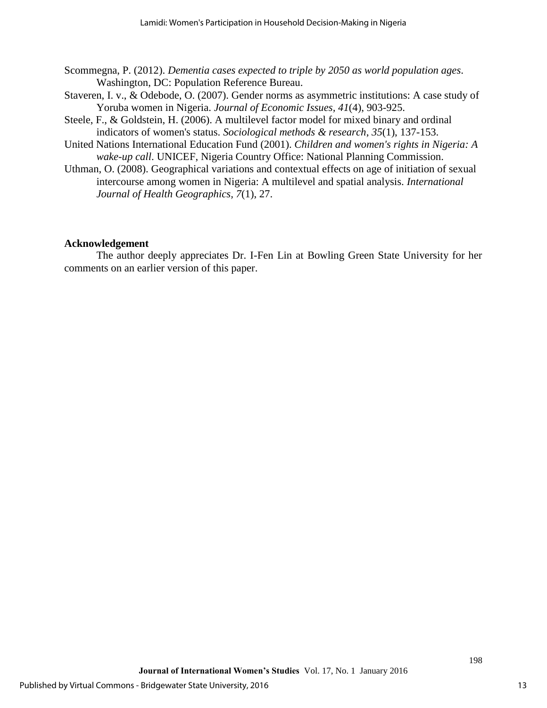- Scommegna, P. (2012). *Dementia cases expected to triple by 2050 as world population ages*. Washington, DC: Population Reference Bureau.
- Staveren, I. v., & Odebode, O. (2007). Gender norms as asymmetric institutions: A case study of Yoruba women in Nigeria. *Journal of Economic Issues, 41*(4), 903-925.
- Steele, F., & Goldstein, H. (2006). A multilevel factor model for mixed binary and ordinal indicators of women's status. *Sociological methods & research*, *35*(1), 137-153.
- United Nations International Education Fund (2001). *Children and women's rights in Nigeria: A wake-up call*. UNICEF, Nigeria Country Office: National Planning Commission.
- Uthman, O. (2008). Geographical variations and contextual effects on age of initiation of sexual intercourse among women in Nigeria: A multilevel and spatial analysis. *International Journal of Health Geographics, 7*(1), 27.

## **Acknowledgement**

 The author deeply appreciates Dr. I-Fen Lin at Bowling Green State University for her comments on an earlier version of this paper.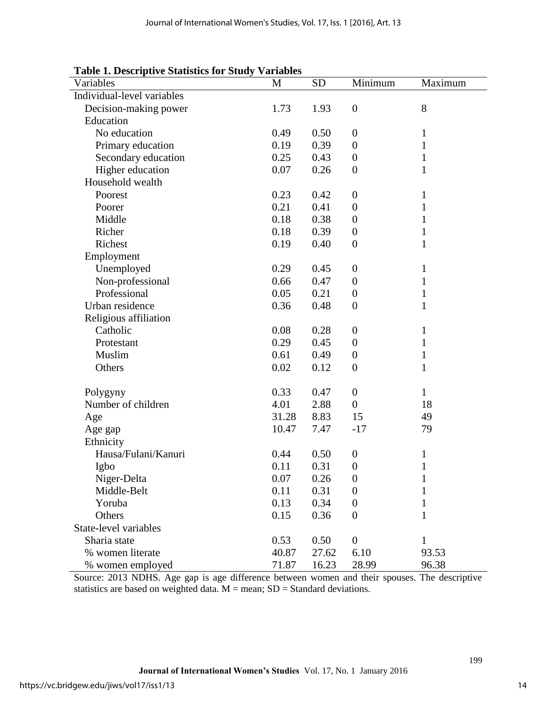#### **Table 1. Descriptive Statistics for Study Variables**

| radio 1. Descriptive biatistics for biddy variables |          |           |                  |              |
|-----------------------------------------------------|----------|-----------|------------------|--------------|
| Variables                                           | M        | <b>SD</b> | Minimum          | Maximum      |
| Individual-level variables                          |          |           |                  |              |
| Decision-making power                               | 1.73     | 1.93      | $\boldsymbol{0}$ | 8            |
| Education                                           |          |           |                  |              |
| No education                                        | 0.49     | 0.50      | $\boldsymbol{0}$ | $\mathbf 1$  |
| Primary education                                   | 0.19     | 0.39      | $\boldsymbol{0}$ | $\mathbf{1}$ |
| Secondary education                                 | 0.25     | 0.43      | $\boldsymbol{0}$ | $\mathbf{1}$ |
| Higher education                                    | 0.07     | 0.26      | $\boldsymbol{0}$ | $\mathbf{1}$ |
| Household wealth                                    |          |           |                  |              |
| Poorest                                             | 0.23     | 0.42      | $\boldsymbol{0}$ | $\mathbf{1}$ |
| Poorer                                              | 0.21     | 0.41      | $\boldsymbol{0}$ | 1            |
| Middle                                              | 0.18     | 0.38      | $\boldsymbol{0}$ | 1            |
| Richer                                              | 0.18     | 0.39      | $\boldsymbol{0}$ | $\mathbf{1}$ |
| Richest                                             | 0.19     | 0.40      | $\boldsymbol{0}$ | $\mathbf{1}$ |
| Employment                                          |          |           |                  |              |
| Unemployed                                          | 0.29     | 0.45      | $\boldsymbol{0}$ | 1            |
| Non-professional                                    | 0.66     | 0.47      | $\boldsymbol{0}$ | $\mathbf{1}$ |
| Professional                                        | 0.05     | 0.21      | $\boldsymbol{0}$ | $\mathbf{1}$ |
| Urban residence                                     | 0.36     | 0.48      | $\boldsymbol{0}$ | $\mathbf{1}$ |
| Religious affiliation                               |          |           |                  |              |
| Catholic                                            | 0.08     | 0.28      | $\boldsymbol{0}$ | $\mathbf{1}$ |
| Protestant                                          | 0.29     | 0.45      | $\boldsymbol{0}$ | $\mathbf{1}$ |
| Muslim                                              | 0.61     | 0.49      | $\boldsymbol{0}$ | $\mathbf{1}$ |
| Others                                              | 0.02     | 0.12      | $\boldsymbol{0}$ | $\mathbf{1}$ |
|                                                     |          |           |                  |              |
| Polygyny                                            | 0.33     | 0.47      | $\boldsymbol{0}$ | 1            |
| Number of children                                  | 4.01     | 2.88      | $\overline{0}$   | 18           |
| Age                                                 | 31.28    | 8.83      | 15               | 49           |
| Age gap                                             | 10.47    | 7.47      | $-17$            | 79           |
| Ethnicity                                           |          |           |                  |              |
| Hausa/Fulani/Kanuri                                 | 0.44     | 0.50      | $\theta$         | 1            |
| Igbo                                                | 0.11     | 0.31      | $\boldsymbol{0}$ | 1            |
| Niger-Delta                                         | $0.07\,$ | 0.26      | $\boldsymbol{0}$ | 1            |
| Middle-Belt                                         | 0.11     | 0.31      | $\boldsymbol{0}$ | 1            |
| Yoruba                                              | 0.13     | 0.34      | $\boldsymbol{0}$ | 1            |
| Others                                              | 0.15     | 0.36      | $\boldsymbol{0}$ | $\mathbf{1}$ |
| State-level variables                               |          |           |                  |              |
| Sharia state                                        | 0.53     | 0.50      | $\boldsymbol{0}$ | 1            |
| % women literate                                    | 40.87    | 27.62     | 6.10             | 93.53        |
| % women employed                                    | 71.87    | 16.23     | 28.99            | 96.38        |

Source: 2013 NDHS. Age gap is age difference between women and their spouses. The descriptive statistics are based on weighted data.  $M =$  mean;  $SD =$  Standard deviations.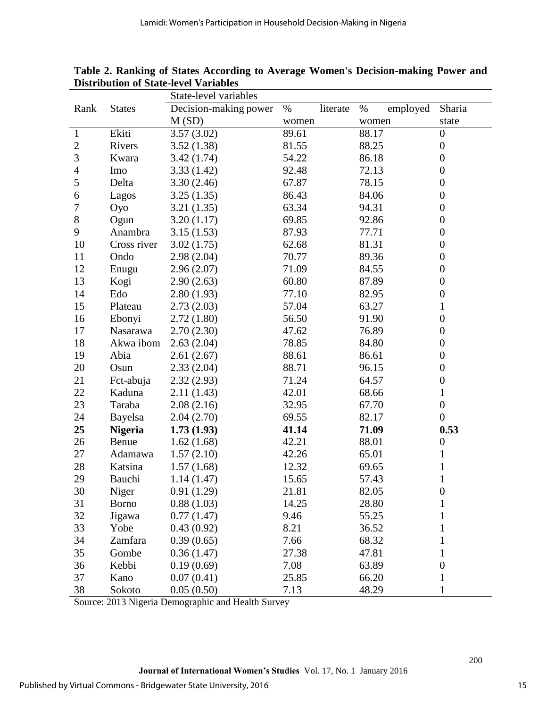|              |                | State-level variables |                  |                  |                  |  |  |
|--------------|----------------|-----------------------|------------------|------------------|------------------|--|--|
| Rank         | <b>States</b>  | Decision-making power | $\%$<br>literate | $\%$<br>employed | Sharia           |  |  |
|              |                | M(SD)                 | women            | women            | state            |  |  |
| $\mathbf{1}$ | Ekiti          | 3.57(3.02)            | 89.61            | 88.17            | $\boldsymbol{0}$ |  |  |
| $\sqrt{2}$   | Rivers         | 3.52(1.38)            | 81.55            | 88.25            | $\boldsymbol{0}$ |  |  |
| 3            | Kwara          | 3.42(1.74)            | 54.22            | 86.18            | $\overline{0}$   |  |  |
| 4            | Imo            | 3.33(1.42)            | 92.48            | 72.13            | $\boldsymbol{0}$ |  |  |
| 5            | Delta          | 3.30(2.46)            | 67.87            | 78.15            | $\boldsymbol{0}$ |  |  |
| 6            | Lagos          | 3.25(1.35)            | 86.43            | 84.06            | $\boldsymbol{0}$ |  |  |
| $\tau$       | Oyo            | 3.21(1.35)            | 63.34            | 94.31            | $\boldsymbol{0}$ |  |  |
| $8\,$        | Ogun           | 3.20(1.17)            | 69.85            | 92.86            | $\boldsymbol{0}$ |  |  |
| 9            | Anambra        | 3.15(1.53)            | 87.93            | 77.71            | $\boldsymbol{0}$ |  |  |
| 10           | Cross river    | 3.02(1.75)            | 62.68            | 81.31            | $\boldsymbol{0}$ |  |  |
| 11           | Ondo           | 2.98(2.04)            | 70.77            | 89.36            | $\boldsymbol{0}$ |  |  |
| 12           | Enugu          | 2.96(2.07)            | 71.09            | 84.55            | $\boldsymbol{0}$ |  |  |
| 13           | Kogi           | 2.90(2.63)            | 60.80            | 87.89            | $\boldsymbol{0}$ |  |  |
| 14           | Edo            | 2.80(1.93)            | 77.10            | 82.95            | $\boldsymbol{0}$ |  |  |
| 15           | Plateau        | 2.73(2.03)            | 57.04            | 63.27            | $\mathbf{1}$     |  |  |
| 16           | Ebonyi         | 2.72(1.80)            | 56.50            | 91.90            | $\boldsymbol{0}$ |  |  |
| 17           | Nasarawa       | 2.70(2.30)            | 47.62            | 76.89            | $\boldsymbol{0}$ |  |  |
| 18           | Akwa ibom      | 2.63(2.04)            | 78.85            | 84.80            | $\boldsymbol{0}$ |  |  |
| 19           | Abia           | 2.61(2.67)            | 88.61            | 86.61            | $\boldsymbol{0}$ |  |  |
| 20           | Osun           | 2.33(2.04)            | 88.71            | 96.15            | $\boldsymbol{0}$ |  |  |
| 21           | Fct-abuja      | 2.32(2.93)            | 71.24            | 64.57            | $\boldsymbol{0}$ |  |  |
| 22           | Kaduna         | 2.11(1.43)            | 42.01            | 68.66            | $\mathbf{1}$     |  |  |
| 23           | Taraba         | 2.08(2.16)            | 32.95            | 67.70            | $\boldsymbol{0}$ |  |  |
| 24           | Bayelsa        | 2.04(2.70)            | 69.55            | 82.17            | $\boldsymbol{0}$ |  |  |
| 25           | <b>Nigeria</b> | 1.73(1.93)            | 41.14            | 71.09            | 0.53             |  |  |
| 26           | Benue          | 1.62(1.68)            | 42.21            | 88.01            | $\boldsymbol{0}$ |  |  |
| 27           | Adamawa        | 1.57(2.10)            | 42.26            | 65.01            | $\mathbf{1}$     |  |  |
| 28           | Katsina        | 1.57(1.68)            | 12.32            | 69.65            | $\mathbf{1}$     |  |  |
| 29           | Bauchi         | 1.14(1.47)            | 15.65            | 57.43            | $\mathbf{1}$     |  |  |
| 30           | Niger          | 0.91(1.29)            | 21.81            | 82.05            | $\boldsymbol{0}$ |  |  |
| 31           | <b>Borno</b>   | 0.88(1.03)            | 14.25            | 28.80            | 1                |  |  |
| 32           | Jigawa         | 0.77(1.47)            | 9.46             | 55.25            | 1                |  |  |
| 33           | Yobe           | 0.43(0.92)            | 8.21             | 36.52            | 1                |  |  |
| 34           | Zamfara        | 0.39(0.65)            | 7.66             | 68.32            | 1                |  |  |
| 35           | Gombe          | 0.36(1.47)            | 27.38            | 47.81            | 1                |  |  |
| 36           | Kebbi          | 0.19(0.69)            | 7.08             | 63.89            | $\boldsymbol{0}$ |  |  |
| 37           | Kano           | 0.07(0.41)            | 25.85            | 66.20            | $\mathbf 1$      |  |  |
| 38           | Sokoto         | 0.05(0.50)            | 7.13             | 48.29            | $\mathbf{1}$     |  |  |

**Table 2. Ranking of States According to Average Women's Decision-making Power and Distribution of State-level Variables** 

Source: 2013 Nigeria Demographic and Health Survey